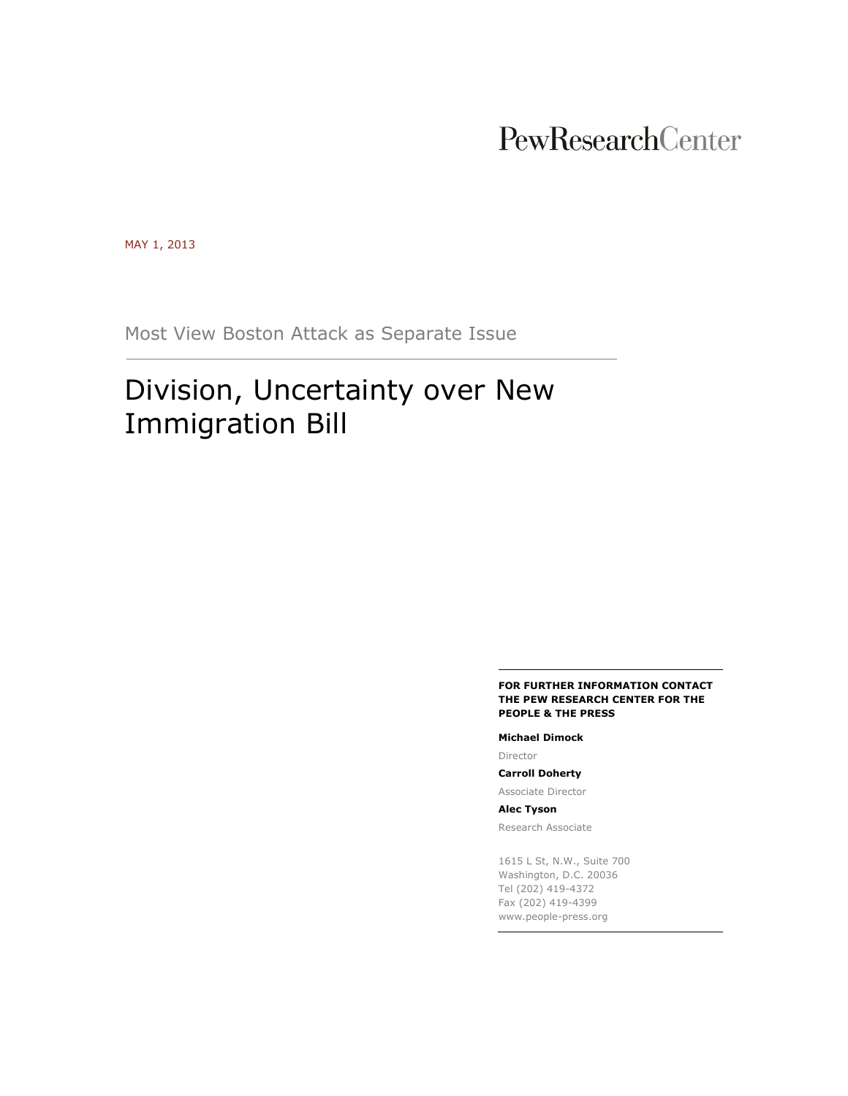# PewResearchCenter

MAY 1, 2013

Most View Boston Attack as Separate Issue

# Division, Uncertainty over New Immigration Bill

#### **FOR FURTHER INFORMATION CONTACT THE PEW RESEARCH CENTER FOR THE PEOPLE & THE PRESS**

#### **Michael Dimock**

Director

**Carroll Doherty**

Associate Director **Alec Tyson**

Research Associate

1615 L St, N.W., Suite 700 Washington, D.C. 20036 Tel (202) 419-4372 Fax (202) 419-4399 www.people-press.org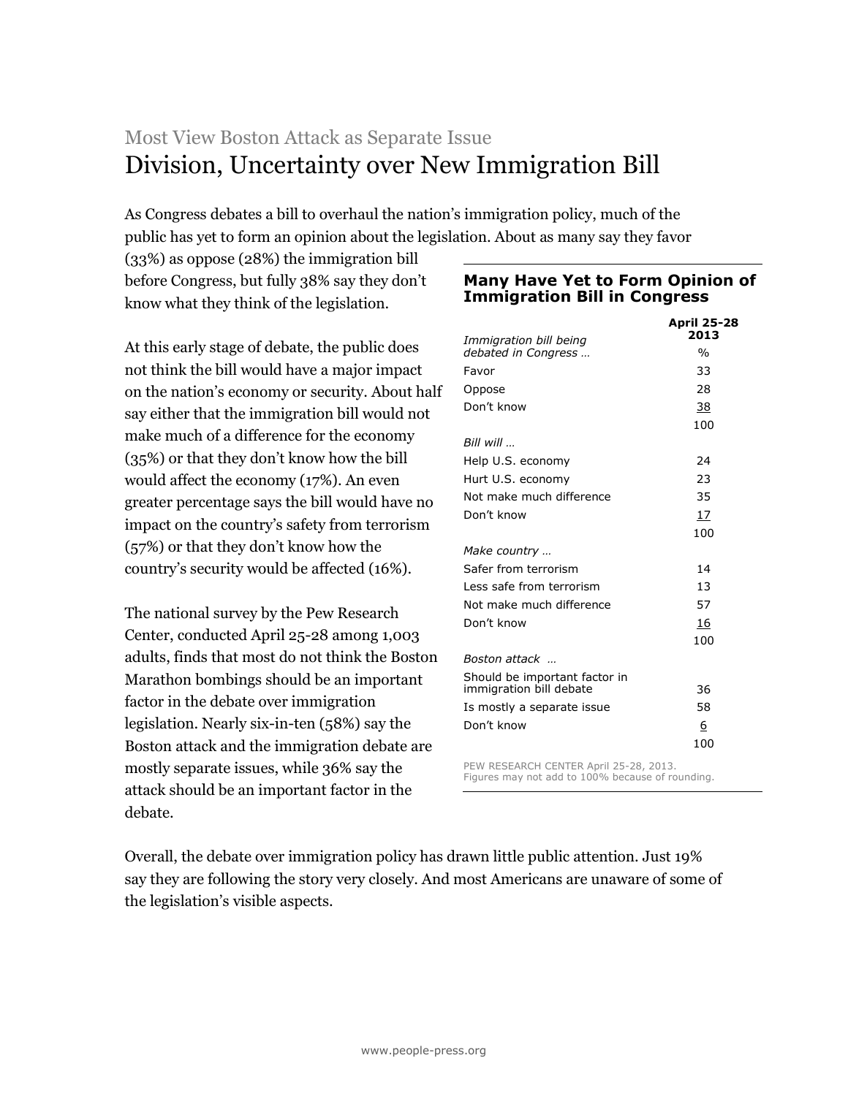# Most View Boston Attack as Separate Issue Division, Uncertainty over New Immigration Bill

As Congress debates a bill to overhaul the nation's immigration policy, much of the public has yet to form an opinion about the legislation. About as many say they favor

(33%) as oppose (28%) the immigration bill before Congress, but fully 38% say they don't know what they think of the legislation.

At this early stage of debate, the public does not think the bill would have a major impact on the nation's economy or security. About half say either that the immigration bill would not make much of a difference for the economy (35%) or that they don't know how the bill would affect the economy (17%). An even greater percentage says the bill would have no impact on the country's safety from terrorism (57%) or that they don't know how the country's security would be affected (16%).

The national survey by the Pew Research Center, conducted April 25-28 among 1,003 adults, finds that most do not think the Boston Marathon bombings should be an important factor in the debate over immigration legislation. Nearly six-in-ten (58%) say the Boston attack and the immigration debate are mostly separate issues, while 36% say the attack should be an important factor in the debate.

# **Many Have Yet to Form Opinion of Immigration Bill in Congress**

| Immigration bill being                                                                     | <b>April 25-28</b><br>2013 |
|--------------------------------------------------------------------------------------------|----------------------------|
| debated in Congress                                                                        | $\frac{0}{0}$              |
| Favor                                                                                      | 33                         |
| Oppose                                                                                     | 28                         |
| Don't know                                                                                 | 38                         |
|                                                                                            | 100                        |
| Bill will                                                                                  |                            |
| Help U.S. economy                                                                          | 24                         |
| Hurt U.S. economy                                                                          | 23                         |
| Not make much difference                                                                   | 35                         |
| Don't know                                                                                 | 17                         |
|                                                                                            | 100                        |
| Make country                                                                               |                            |
| Safer from terrorism                                                                       | 14                         |
| Less safe from terrorism                                                                   | 13                         |
| Not make much difference                                                                   | 57                         |
| Don't know                                                                                 | 16                         |
|                                                                                            | 100                        |
| Boston attack                                                                              |                            |
| Should be important factor in                                                              |                            |
| immigration bill debate                                                                    | 36                         |
| Is mostly a separate issue                                                                 | 58                         |
| Don't know                                                                                 | 6                          |
|                                                                                            | 100                        |
| PEW RESEARCH CENTER April 25-28, 2013.<br>Figures may not add to 100% because of rounding. |                            |

Overall, the debate over immigration policy has drawn little public attention. Just 19% say they are following the story very closely. And most Americans are unaware of some of the legislation's visible aspects.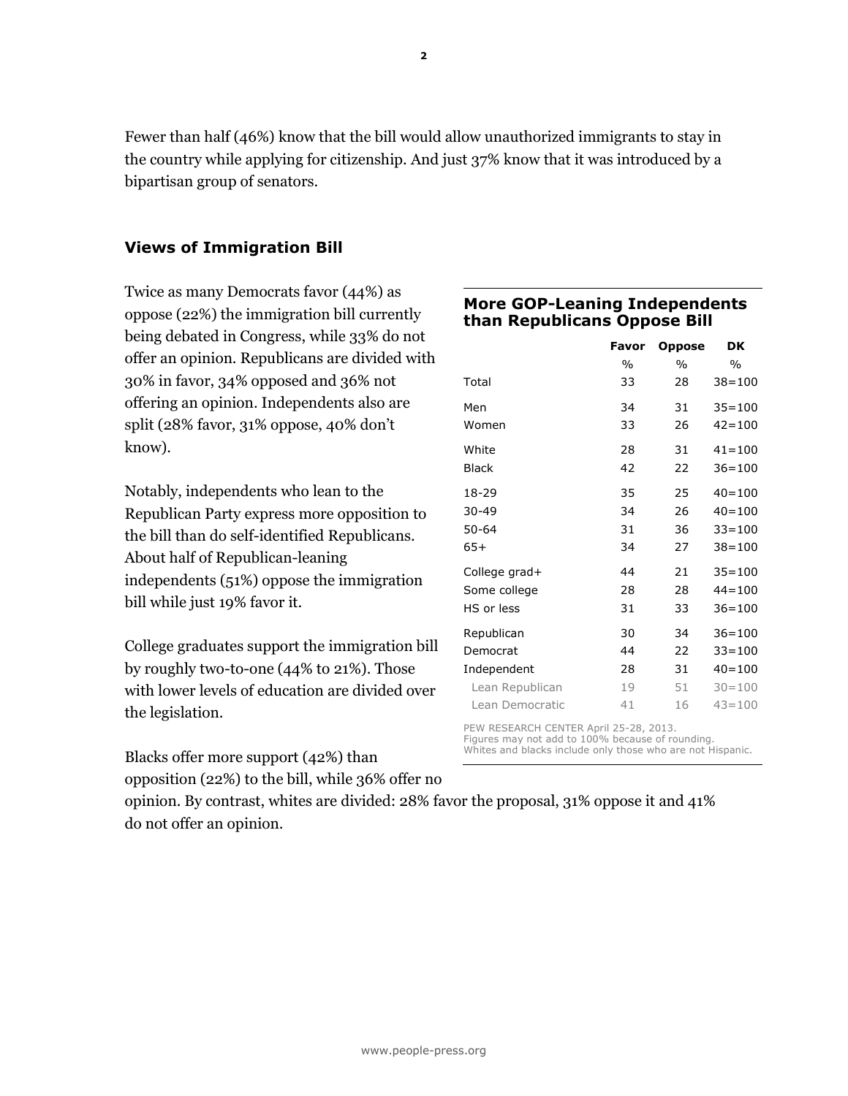Fewer than half (46%) know that the bill would allow unauthorized immigrants to stay in the country while applying for citizenship. And just 37% know that it was introduced by a bipartisan group of senators.

# **Views of Immigration Bill**

Twice as many Democrats favor (44%) as oppose (22%) the immigration bill currently being debated in Congress, while 33% do not offer an opinion. Republicans are divided with 30% in favor, 34% opposed and 36% not offering an opinion. Independents also are split (28% favor, 31% oppose, 40% don't know).

Notably, independents who lean to the Republican Party express more opposition to the bill than do self-identified Republicans. About half of Republican-leaning independents (51%) oppose the immigration bill while just 19% favor it.

College graduates support the immigration bill by roughly two-to-one (44% to 21%). Those with lower levels of education are divided over the legislation.

# **More GOP-Leaning Independents than Republicans Oppose Bill**

|                 | Favor | <b>Oppose</b> | DK            |
|-----------------|-------|---------------|---------------|
|                 | $\%$  | $\frac{0}{0}$ | $\frac{0}{0}$ |
| Total           | 33    | 28            | $38 = 100$    |
| Men             | 34    | 31            | $35 = 100$    |
| Women           | 33    | 26            | $42 = 100$    |
| White           | 28    | 31            | $41 = 100$    |
| <b>Black</b>    | 42    | 22            | $36 = 100$    |
| 18-29           | 35    | 25            | $40 = 100$    |
| 30-49           | 34    | 26            | $40 = 100$    |
| 50-64           | 31    | 36            | $33 = 100$    |
| $65+$           | 34    | 27            | $38 = 100$    |
| College grad+   | 44    | 21            | $35 = 100$    |
| Some college    | 28    | 28            | $44 = 100$    |
| HS or less      | 31    | 33            | $36 = 100$    |
| Republican      | 30    | 34            | $36 = 100$    |
| Democrat        | 44    | 22            | $33 = 100$    |
| Independent     | 28    | 31            | $40 = 100$    |
| Lean Republican | 19    | 51            | $30 = 100$    |
| Lean Democratic | 41    | 16            | $43 = 100$    |

PEW RESEARCH CENTER April 25-28, 2013. Figures may not add to 100% because of rounding. Whites and blacks include only those who are not Hispanic.

Blacks offer more support (42%) than opposition (22%) to the bill, while 36% offer no

opinion. By contrast, whites are divided: 28% favor the proposal, 31% oppose it and 41% do not offer an opinion.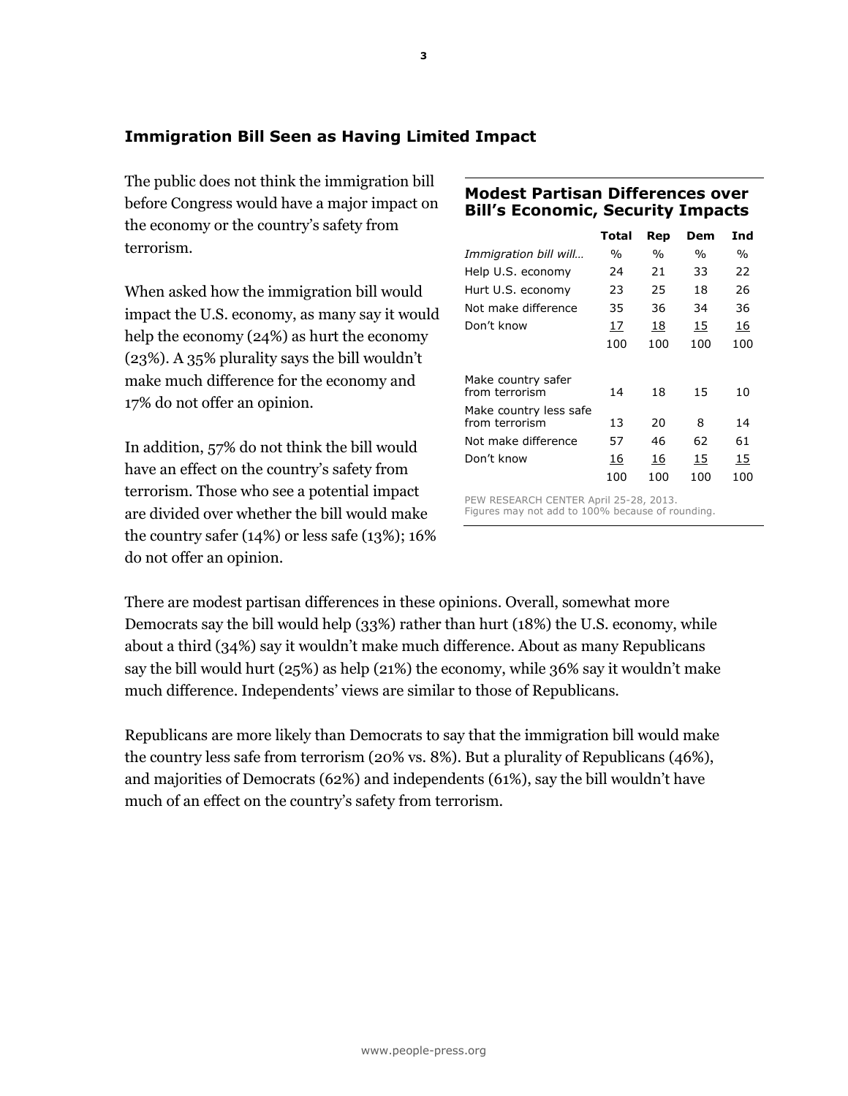# **Immigration Bill Seen as Having Limited Impact**

The public does not think the immigration bill before Congress would have a major impact on the economy or the country's safety from terrorism.

When asked how the immigration bill would impact the U.S. economy, as many say it would help the economy (24%) as hurt the economy (23%). A 35% plurality says the bill wouldn't make much difference for the economy and 17% do not offer an opinion.

In addition, 57% do not think the bill would have an effect on the country's safety from terrorism. Those who see a potential impact are divided over whether the bill would make the country safer (14%) or less safe (13%); 16% do not offer an opinion.

# **Modest Partisan Differences over Bill's Economic, Security Impacts**

|                                          | Total | Rep           | Dem           | Ind           |
|------------------------------------------|-------|---------------|---------------|---------------|
| Immigration bill will                    | %     | $\frac{0}{0}$ | $\frac{0}{0}$ | $\frac{0}{0}$ |
| Help U.S. economy                        | 24    | 21            | 33            | 22            |
| Hurt U.S. economy                        | 23    | 25            | 18            | 26            |
| Not make difference                      | 35    | 36            | 34            | 36            |
| Don't know                               | 17    | 18            | 15            | 16            |
|                                          | 100   | 100           | 100           | 100           |
| Make country safer<br>from terrorism     | 14    | 18            | 15            | 10            |
| Make country less safe<br>from terrorism | 13    | 20            | 8             | 14            |
| Not make difference                      | 57    | 46            | 62            | 61            |
| Don't know                               | 16    | 16            | 15            | 15            |
|                                          | 100   | 100           | 100           | 100           |

PEW RESEARCH CENTER April 25-28, 2013. Figures may not add to 100% because of rounding.

There are modest partisan differences in these opinions. Overall, somewhat more Democrats say the bill would help (33%) rather than hurt (18%) the U.S. economy, while about a third (34%) say it wouldn't make much difference. About as many Republicans say the bill would hurt (25%) as help (21%) the economy, while 36% say it wouldn't make much difference. Independents' views are similar to those of Republicans.

Republicans are more likely than Democrats to say that the immigration bill would make the country less safe from terrorism (20% vs. 8%). But a plurality of Republicans (46%), and majorities of Democrats (62%) and independents (61%), say the bill wouldn't have much of an effect on the country's safety from terrorism.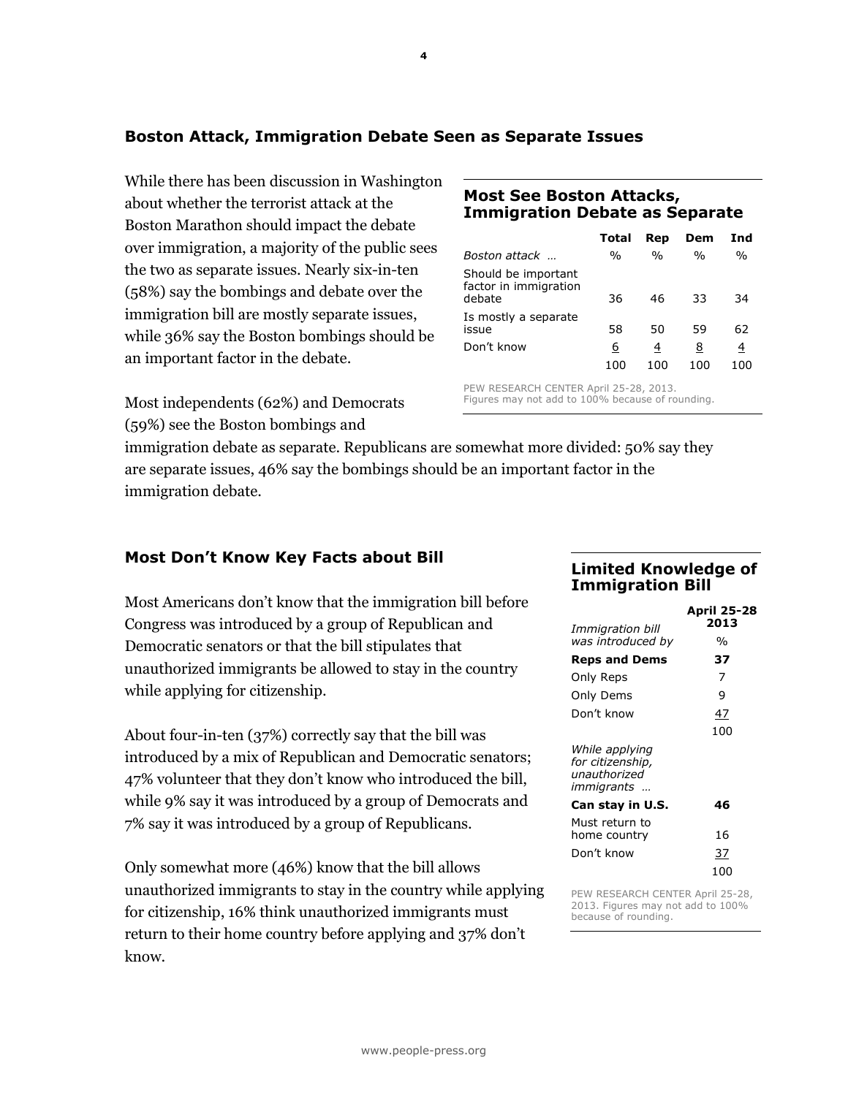# **Boston Attack, Immigration Debate Seen as Separate Issues**

While there has been discussion in Washington about whether the terrorist attack at the Boston Marathon should impact the debate over immigration, a majority of the public sees the two as separate issues. Nearly six-in-ten (58%) say the bombings and debate over the immigration bill are mostly separate issues, while 36% say the Boston bombings should be an important factor in the debate.

Most independents (62%) and Democrats (59%) see the Boston bombings and

## **Most See Boston Attacks, Immigration Debate as Separate**

|                                                        | Total           | Rep           | Dem           | Ind           |
|--------------------------------------------------------|-----------------|---------------|---------------|---------------|
| Boston attack                                          | $\frac{0}{0}$   | $\frac{0}{0}$ | $\frac{0}{0}$ | $\frac{0}{0}$ |
| Should be important<br>factor in immigration<br>debate | 36              | 46            | 33            | 34            |
| Is mostly a separate<br>issue                          | 58              | 50            | 59            | 62            |
| Don't know                                             | <u>6</u><br>100 | 4<br>100      | 8<br>100      | 4<br>100      |

PEW RESEARCH CENTER April 25-28, 2013. Figures may not add to 100% because of rounding.

immigration debate as separate. Republicans are somewhat more divided: 50% say they are separate issues, 46% say the bombings should be an important factor in the immigration debate.

# **Most Don't Know Key Facts about Bill**

Most Americans don't know that the immigration bill before Congress was introduced by a group of Republican and Democratic senators or that the bill stipulates that unauthorized immigrants be allowed to stay in the country while applying for citizenship.

About four-in-ten (37%) correctly say that the bill was introduced by a mix of Republican and Democratic senators; 47% volunteer that they don't know who introduced the bill, while 9% say it was introduced by a group of Democrats and 7% say it was introduced by a group of Republicans.

Only somewhat more (46%) know that the bill allows unauthorized immigrants to stay in the country while applying for citizenship, 16% think unauthorized immigrants must return to their home country before applying and 37% don't know.

# **Limited Knowledge of Immigration Bill**

| Immigration bill                                                         | <b>April 25-28</b><br>2013 |
|--------------------------------------------------------------------------|----------------------------|
| was introduced by                                                        | %                          |
| <b>Reps and Dems</b>                                                     | 37                         |
| Only Reps                                                                | 7                          |
| Only Dems                                                                | 9                          |
| Don't know                                                               | 47                         |
|                                                                          | 100                        |
| While applying<br>for citizenship,<br>unauthorized<br><i>immigrants </i> |                            |
| Can stay in U.S.                                                         | 46                         |
| Must return to<br>home country                                           | 16                         |
| Don't know                                                               | 37                         |
|                                                                          | 100                        |

PEW RESEARCH CENTER April 25-28, 2013. Figures may not add to 100% because of rounding.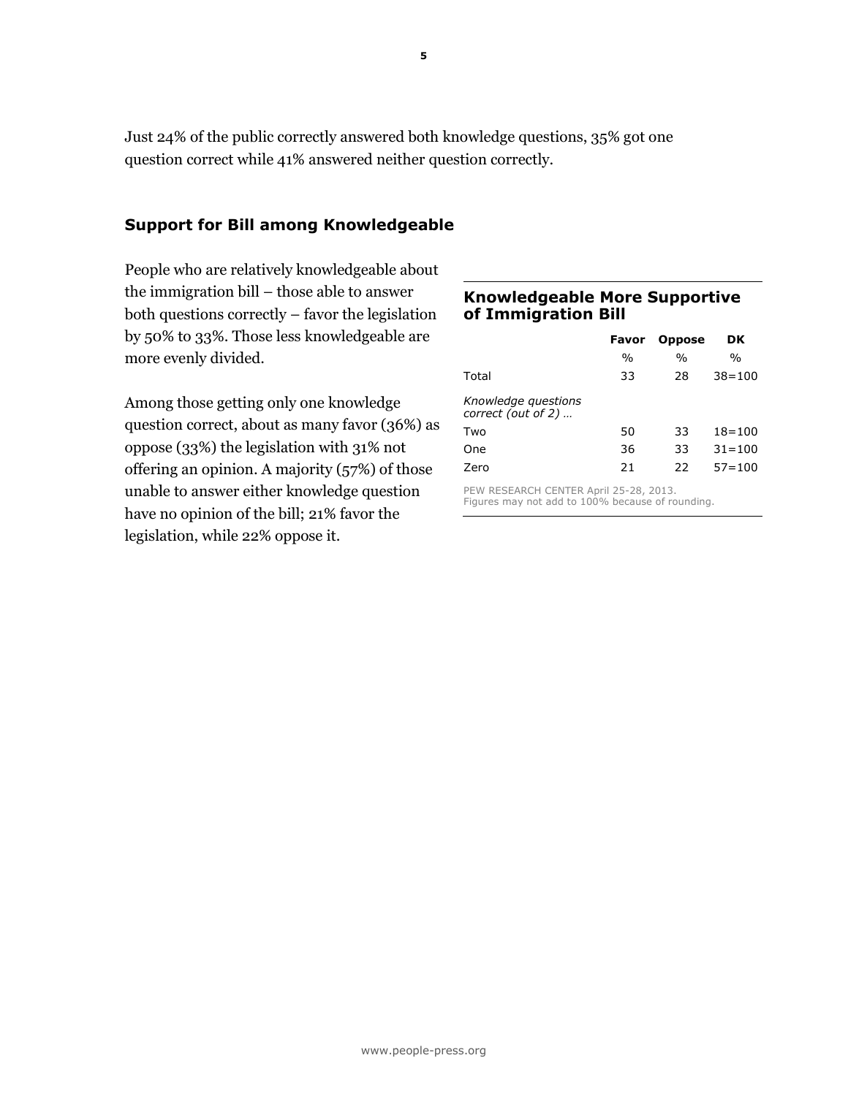Just 24% of the public correctly answered both knowledge questions, 35% got one question correct while 41% answered neither question correctly.

# **Support for Bill among Knowledgeable**

People who are relatively knowledgeable about the immigration bill – those able to answer both questions correctly – favor the legislation by 50% to 33%. Those less knowledgeable are more evenly divided.

Among those getting only one knowledge question correct, about as many favor (36%) as oppose (33%) the legislation with 31% not offering an opinion. A majority (57%) of those unable to answer either knowledge question have no opinion of the bill; 21% favor the legislation, while 22% oppose it.

## **Knowledgeable More Supportive of Immigration Bill**

|                                             | Favor         | <b>Oppose</b> | DK            |  |  |
|---------------------------------------------|---------------|---------------|---------------|--|--|
|                                             | $\frac{0}{0}$ | $\frac{0}{0}$ | $\frac{0}{0}$ |  |  |
| Total                                       | 33            | 28            | $38 = 100$    |  |  |
| Knowledge questions<br>correct (out of $2)$ |               |               |               |  |  |
| Two                                         | 50            | 33            | $18 = 100$    |  |  |
| One                                         | 36            | 33            | $31 = 100$    |  |  |
| Zero                                        | 21            | 22            | $57 = 100$    |  |  |
| PEW RESEARCH CENTER April 25-28, 2013.      |               |               |               |  |  |

Figures may not add to 100% because of rounding.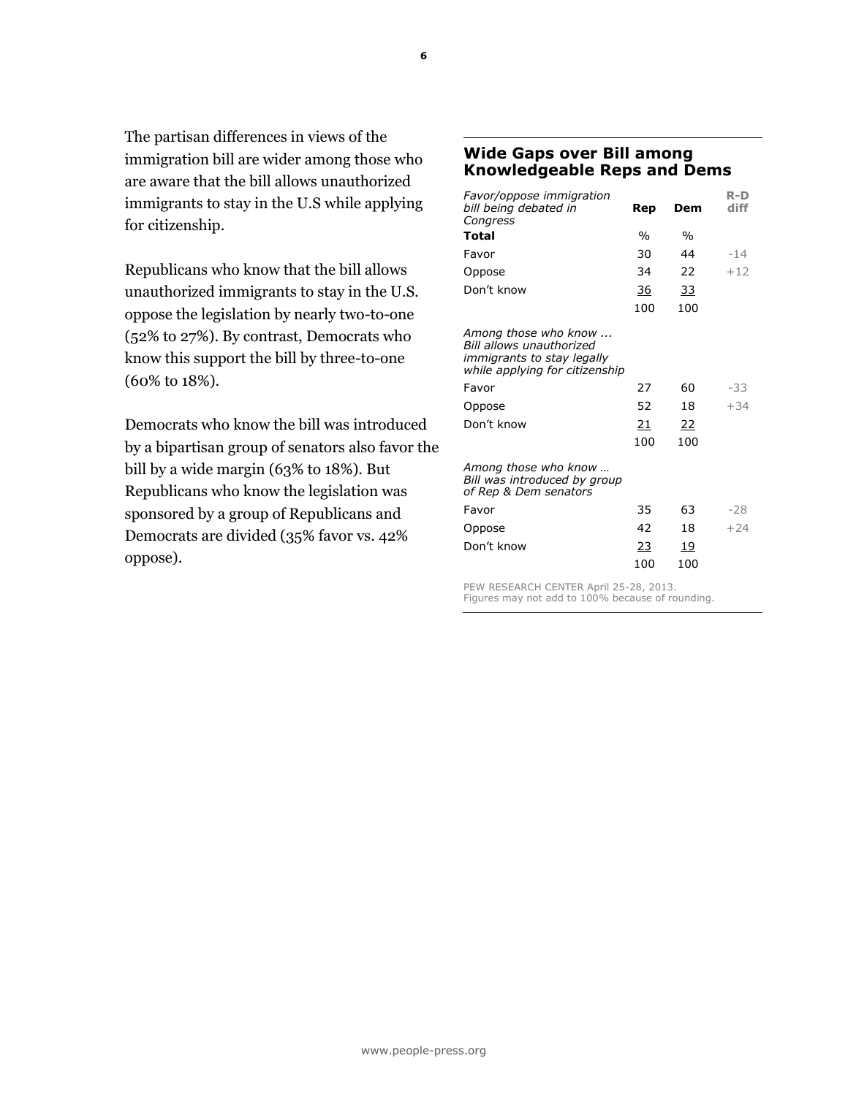The partisan differences in views of the immigration bill are wider among those who are aware that the bill allows unauthorized immigrants to stay in the U.S while applying for citizenship.

Republicans who know that the bill allows unauthorized immigrants to stay in the U.S. oppose the legislation by nearly two-to-one (52% to 27%). By contrast, Democrats who know this support the bill by three-to-one (60% to 18%).

Democrats who know the bill was introduced by a bipartisan group of senators also favor the bill by a wide margin (63% to 18%). But Republicans who know the legislation was sponsored by a group of Republicans and Democrats are divided (35% favor vs. 42% oppose).

## **Wide Gaps over Bill among Knowledgeable Reps and Dems**

| Rep           | Dem           | R-D<br>diff |
|---------------|---------------|-------------|
| $\frac{0}{0}$ | $\frac{0}{0}$ |             |
| 30            | 44            | $-14$       |
| 34            | 22            | $+12$       |
| 36            | <u>33</u>     |             |
| 100           | 100           |             |
|               |               |             |
| 27            | 60            | -33         |
| 52            | 18            | $+34$       |
| <u>21</u>     | <u>22</u>     |             |
| 100           | 100           |             |
|               |               |             |
| 35            | 63            | $-28$       |
| 42            | 18            | $+24$       |
| <u>23</u>     | 19            |             |
| 100           | 100           |             |
|               |               |             |

PEW RESEARCH CENTER April 25-28, 2013. Figures may not add to 100% because of rounding.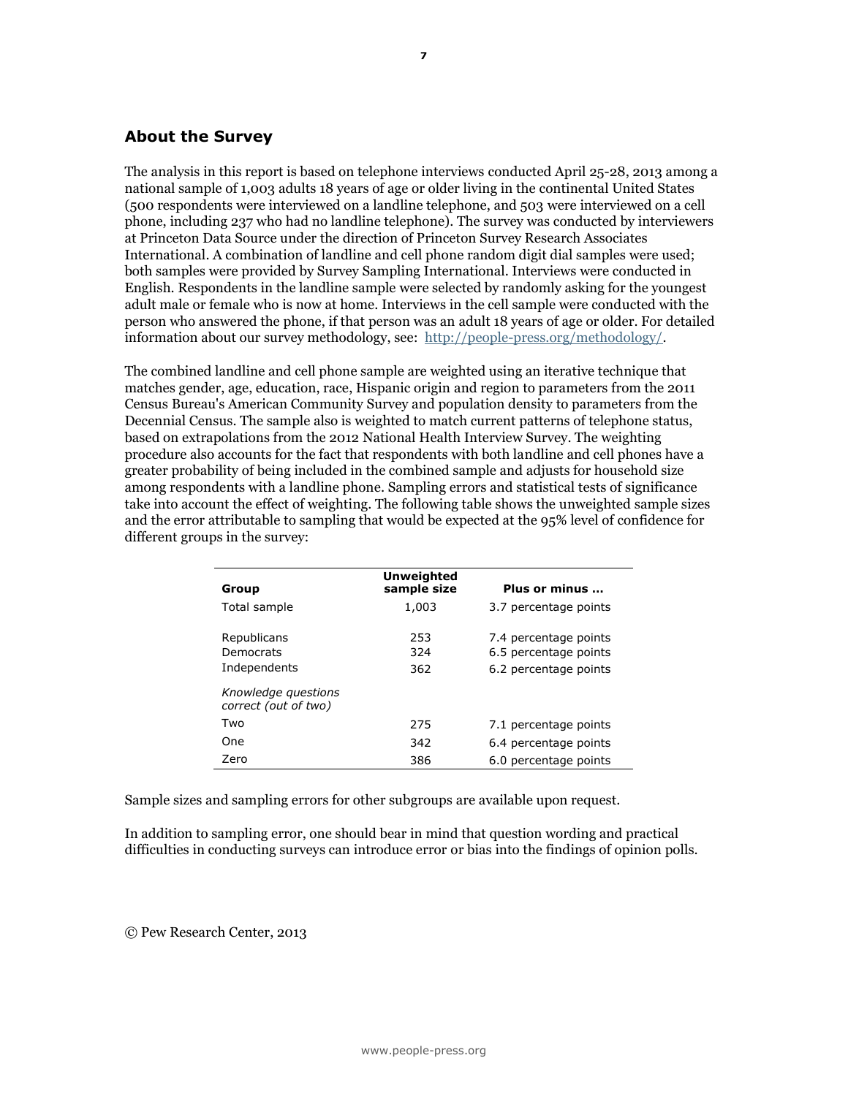## **About the Survey**

The analysis in this report is based on telephone interviews conducted April 25-28, 2013 among a national sample of 1,003 adults 18 years of age or older living in the continental United States (500 respondents were interviewed on a landline telephone, and 503 were interviewed on a cell phone, including 237 who had no landline telephone). The survey was conducted by interviewers at Princeton Data Source under the direction of Princeton Survey Research Associates International. A combination of landline and cell phone random digit dial samples were used; both samples were provided by Survey Sampling International. Interviews were conducted in English. Respondents in the landline sample were selected by randomly asking for the youngest adult male or female who is now at home. Interviews in the cell sample were conducted with the person who answered the phone, if that person was an adult 18 years of age or older. For detailed information about our survey methodology, see: [http://people-press.org/methodology/.](http://people-press.org/methodology/)

The combined landline and cell phone sample are weighted using an iterative technique that matches gender, age, education, race, Hispanic origin and region to parameters from the 2011 Census Bureau's American Community Survey and population density to parameters from the Decennial Census. The sample also is weighted to match current patterns of telephone status, based on extrapolations from the 2012 National Health Interview Survey. The weighting procedure also accounts for the fact that respondents with both landline and cell phones have a greater probability of being included in the combined sample and adjusts for household size among respondents with a landline phone. Sampling errors and statistical tests of significance take into account the effect of weighting. The following table shows the unweighted sample sizes and the error attributable to sampling that would be expected at the 95% level of confidence for different groups in the survey:

| Group                                       | <b>Unweighted</b><br>sample size | Plus or minus                                                           |
|---------------------------------------------|----------------------------------|-------------------------------------------------------------------------|
| Total sample                                | 1,003                            | 3.7 percentage points                                                   |
| Republicans<br>Democrats<br>Independents    | 253<br>324<br>362                | 7.4 percentage points<br>6.5 percentage points<br>6.2 percentage points |
| Knowledge questions<br>correct (out of two) |                                  |                                                                         |
| Two                                         | 275                              | 7.1 percentage points                                                   |
| One                                         | 342                              | 6.4 percentage points                                                   |
| Zero                                        | 386                              | 6.0 percentage points                                                   |

Sample sizes and sampling errors for other subgroups are available upon request.

In addition to sampling error, one should bear in mind that question wording and practical difficulties in conducting surveys can introduce error or bias into the findings of opinion polls.

© Pew Research Center, 2013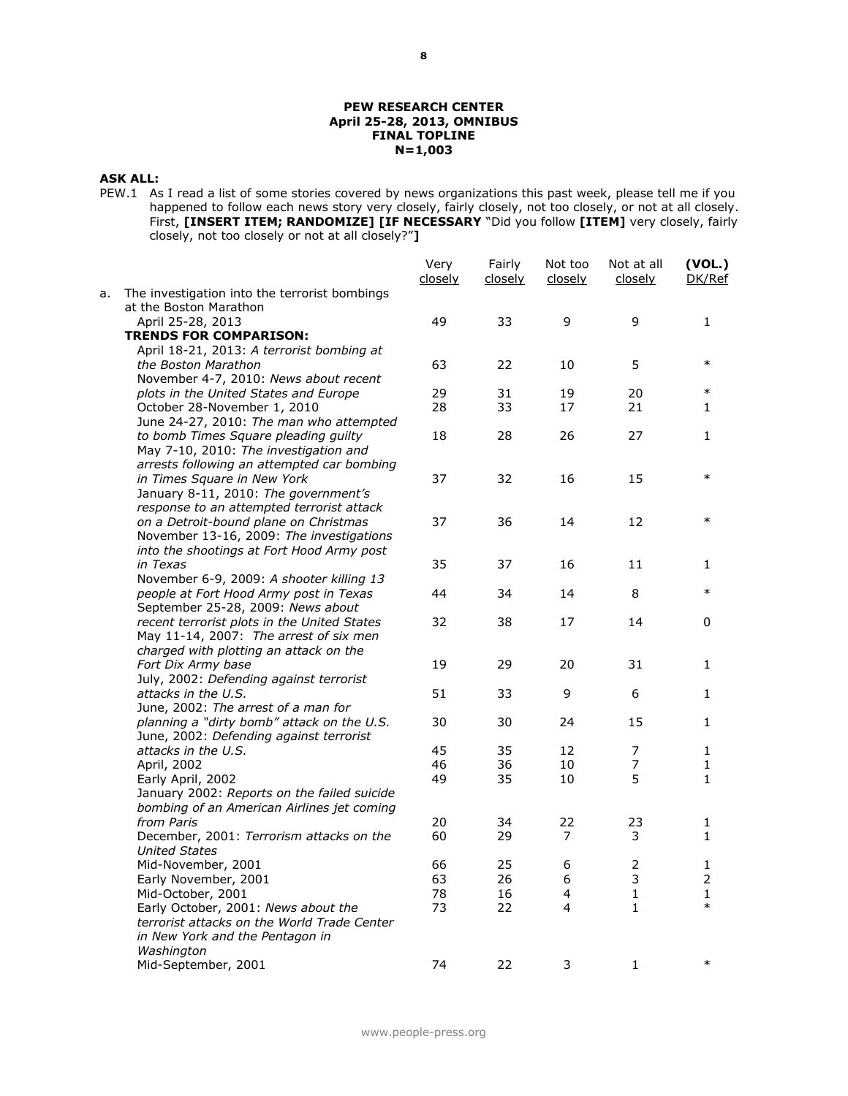#### **PEW RESEARCH CENTER April 25-28, 2013, OMNIBUS FINAL TOPLINE N=1,003**

## **ASK ALL:**

PEW.1 As I read a list of some stories covered by news organizations this past week, please tell me if you happened to follow each news story very closely, fairly closely, not too closely, or not at all closely. First, **[INSERT ITEM; RANDOMIZE] [IF NECESSARY** "Did you follow **[ITEM]** very closely, fairly closely, not too closely or not at all closely?"**]**

|    |                                                                                       | Very<br><u>closelv</u> | Fairly<br>closely | Not too<br>closely | Not at all<br>closely | (VOL.)<br>DK/Ref    |
|----|---------------------------------------------------------------------------------------|------------------------|-------------------|--------------------|-----------------------|---------------------|
| а. | The investigation into the terrorist bombings<br>at the Boston Marathon               |                        |                   |                    |                       |                     |
|    | April 25-28, 2013                                                                     | 49                     | 33                | 9                  | 9                     | 1                   |
|    | <b>TRENDS FOR COMPARISON:</b>                                                         |                        |                   |                    |                       |                     |
|    | April 18-21, 2013: A terrorist bombing at                                             |                        |                   |                    |                       |                     |
|    | the Boston Marathon                                                                   | 63                     | 22                | 10                 | 5                     | $\ast$              |
|    | November 4-7, 2010: News about recent                                                 |                        |                   |                    |                       |                     |
|    | plots in the United States and Europe                                                 | 29                     | 31                | 19                 | 20                    | $\ast$              |
|    | October 28-November 1, 2010                                                           | 28                     | 33                | 17                 | 21                    | 1                   |
|    | June 24-27, 2010: The man who attempted                                               |                        |                   |                    |                       |                     |
|    | to bomb Times Square pleading guilty                                                  | 18                     | 28                | 26                 | 27                    | 1                   |
|    | May 7-10, 2010: The investigation and                                                 |                        |                   |                    |                       |                     |
|    | arrests following an attempted car bombing                                            |                        |                   |                    |                       |                     |
|    | in Times Square in New York                                                           | 37                     | 32                | 16                 | 15                    | $\ast$              |
|    | January 8-11, 2010: The government's                                                  |                        |                   |                    |                       |                     |
|    | response to an attempted terrorist attack                                             |                        |                   |                    |                       | $\ast$              |
|    | on a Detroit-bound plane on Christmas                                                 | 37                     | 36                | 14                 | 12                    |                     |
|    | November 13-16, 2009: The investigations<br>into the shootings at Fort Hood Army post |                        |                   |                    |                       |                     |
|    | in Texas                                                                              | 35                     | 37                | 16                 | 11                    | 1                   |
|    | November 6-9, 2009: A shooter killing 13                                              |                        |                   |                    |                       |                     |
|    | people at Fort Hood Army post in Texas                                                | 44                     | 34                | 14                 | 8                     | $\ast$              |
|    | September 25-28, 2009: News about                                                     |                        |                   |                    |                       |                     |
|    | recent terrorist plots in the United States                                           | 32                     | 38                | 17                 | 14                    | 0                   |
|    | May 11-14, 2007: The arrest of six men                                                |                        |                   |                    |                       |                     |
|    | charged with plotting an attack on the                                                |                        |                   |                    |                       |                     |
|    | Fort Dix Army base                                                                    | 19                     | 29                | 20                 | 31                    | 1                   |
|    | July, 2002: Defending against terrorist                                               |                        |                   |                    |                       |                     |
|    | attacks in the U.S.                                                                   | 51                     | 33                | 9                  | 6                     | 1                   |
|    | June, 2002: The arrest of a man for                                                   |                        |                   |                    |                       |                     |
|    | planning a "dirty bomb" attack on the U.S.                                            | 30                     | 30                | 24                 | 15                    | 1                   |
|    | June, 2002: Defending against terrorist                                               |                        |                   |                    |                       |                     |
|    | attacks in the U.S.                                                                   | 45                     | 35                | 12                 | 7                     | 1                   |
|    | April, 2002                                                                           | 46                     | 36                | 10                 | 7                     | 1                   |
|    | Early April, 2002                                                                     | 49                     | 35                | 10                 | 5                     | 1                   |
|    | January 2002: Reports on the failed suicide                                           |                        |                   |                    |                       |                     |
|    | bombing of an American Airlines jet coming                                            |                        |                   |                    |                       |                     |
|    | from Paris                                                                            | 20                     | 34                | 22                 | 23                    | 1                   |
|    | December, 2001: Terrorism attacks on the                                              | 60                     | 29                | $\overline{7}$     | 3                     | 1                   |
|    | <b>United States</b><br>Mid-November, 2001                                            |                        |                   |                    | $\mathbf 2$           |                     |
|    | Early November, 2001                                                                  | 66<br>63               | 25<br>26          | 6<br>6             | 3                     | 1<br>$\overline{2}$ |
|    |                                                                                       | 78                     | 16                | 4                  | $\mathbf{1}$          | 1                   |
|    | Mid-October, 2001<br>Early October, 2001: News about the                              | 73                     | 22                | 4                  | $\mathbf{1}$          | $\ast$              |
|    | terrorist attacks on the World Trade Center                                           |                        |                   |                    |                       |                     |
|    | in New York and the Pentagon in                                                       |                        |                   |                    |                       |                     |
|    | Washington                                                                            |                        |                   |                    |                       |                     |
|    | Mid-September, 2001                                                                   | 74                     | 22                | 3                  | $\mathbf{1}$          | $\ast$              |
|    |                                                                                       |                        |                   |                    |                       |                     |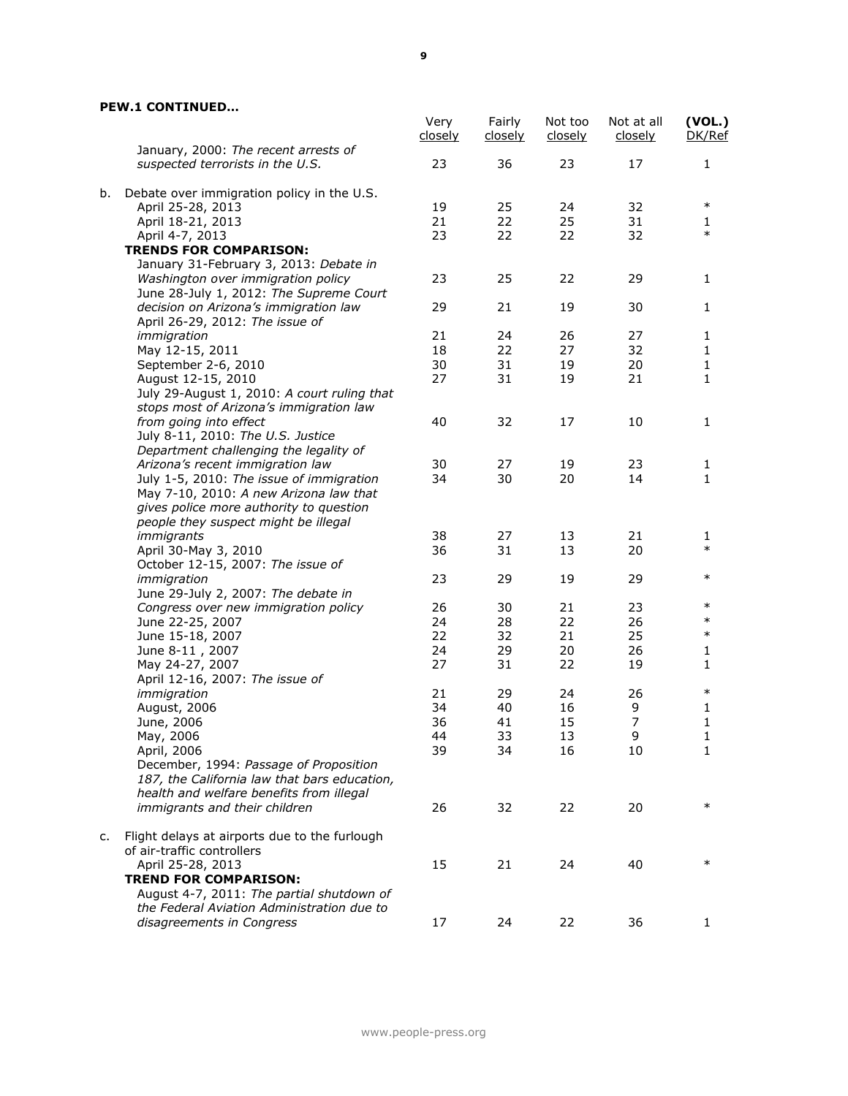## **PEW.1 CONTINUED…**

|    |                                                                          | Very<br>closely | Fairly<br><u>closely</u> | Not too<br><u>closely</u> | Not at all<br><u>closely</u> | (VOL.)<br>DK/Ref |
|----|--------------------------------------------------------------------------|-----------------|--------------------------|---------------------------|------------------------------|------------------|
|    | January, 2000: The recent arrests of<br>suspected terrorists in the U.S. | 23              | 36                       | 23                        | 17                           | 1                |
| b. | Debate over immigration policy in the U.S.                               |                 |                          |                           |                              |                  |
|    | April 25-28, 2013                                                        | 19              | 25                       | 24                        | 32                           | $\ast$           |
|    | April 18-21, 2013                                                        | 21              | 22                       | 25                        | 31                           | 1                |
|    | April 4-7, 2013                                                          | 23              | 22                       | 22                        | 32                           | $\ast$           |
|    | <b>TRENDS FOR COMPARISON:</b>                                            |                 |                          |                           |                              |                  |
|    | January 31-February 3, 2013: Debate in                                   |                 |                          |                           |                              |                  |
|    | Washington over immigration policy                                       | 23              | 25                       | 22                        | 29                           | 1                |
|    | June 28-July 1, 2012: The Supreme Court                                  |                 |                          |                           |                              |                  |
|    | decision on Arizona's immigration law                                    | 29              | 21                       | 19                        | 30                           | 1                |
|    | April 26-29, 2012: The issue of                                          |                 |                          |                           |                              |                  |
|    | immigration                                                              | 21              | 24                       | 26                        | 27                           | 1                |
|    | May 12-15, 2011                                                          | 18              | 22                       | 27                        | 32                           | 1                |
|    | September 2-6, 2010                                                      | 30              | 31                       | 19                        | 20                           | $\mathbf{1}$     |
|    | August 12-15, 2010                                                       | 27              | 31                       | 19                        | 21                           | 1                |
|    | July 29-August 1, 2010: A court ruling that                              |                 |                          |                           |                              |                  |
|    | stops most of Arizona's immigration law                                  |                 |                          |                           |                              |                  |
|    | from going into effect                                                   | 40              | 32                       | 17                        | 10                           | 1                |
|    | July 8-11, 2010: The U.S. Justice                                        |                 |                          |                           |                              |                  |
|    | Department challenging the legality of                                   |                 |                          |                           |                              |                  |
|    | Arizona's recent immigration law                                         | 30              | 27                       | 19                        | 23                           | 1                |
|    | July 1-5, 2010: The issue of immigration                                 | 34              | 30                       | 20                        | 14                           | 1                |
|    | May 7-10, 2010: A new Arizona law that                                   |                 |                          |                           |                              |                  |
|    | gives police more authority to question                                  |                 |                          |                           |                              |                  |
|    | people they suspect might be illegal                                     |                 |                          |                           |                              |                  |
|    | immigrants                                                               | 38              | 27                       | 13                        | 21                           | 1                |
|    | April 30-May 3, 2010                                                     | 36              | 31                       | 13                        | 20                           | $\ast$           |
|    | October 12-15, 2007: The issue of                                        |                 |                          |                           |                              |                  |
|    | immigration                                                              | 23              | 29                       | 19                        | 29                           | $\ast$           |
|    | June 29-July 2, 2007: The debate in                                      |                 |                          |                           |                              |                  |
|    | Congress over new immigration policy                                     | 26              | 30                       | 21                        | 23                           | $\ast$           |
|    | June 22-25, 2007                                                         | 24              | 28                       | 22                        | 26                           | $\ast$           |
|    | June 15-18, 2007                                                         | 22              | 32                       | 21                        | 25                           | $\ast$           |
|    | June 8-11, 2007                                                          | 24              | 29                       | 20                        | 26                           | 1                |
|    | May 24-27, 2007                                                          | 27              | 31                       | 22                        | 19                           | $\mathbf{1}$     |
|    | April 12-16, 2007: The issue of                                          |                 |                          |                           |                              |                  |
|    | immigration                                                              | 21              | 29                       | 24                        | 26                           | $\ast$           |
|    | August, 2006                                                             | 34              | 40                       | 16                        | 9                            | 1                |
|    | June, 2006                                                               | 36              | 41                       | 15                        | $\overline{\phantom{a}}$     | 1                |
|    | May, 2006                                                                | 44              | 33                       | 13                        | 9                            | 1                |
|    | April, 2006                                                              | 39              | 34                       | 16                        | 10                           | 1                |
|    | December, 1994: Passage of Proposition                                   |                 |                          |                           |                              |                  |
|    | 187, the California law that bars education,                             |                 |                          |                           |                              |                  |
|    | health and welfare benefits from illegal                                 |                 |                          |                           |                              |                  |
|    | immigrants and their children                                            | 26              | 32                       | 22                        | 20                           | $\ast$           |
| c. | Flight delays at airports due to the furlough                            |                 |                          |                           |                              |                  |
|    | of air-traffic controllers                                               |                 |                          |                           |                              |                  |
|    | April 25-28, 2013                                                        | 15              | 21                       | 24                        | 40                           | $\ast$           |
|    | <b>TREND FOR COMPARISON:</b>                                             |                 |                          |                           |                              |                  |
|    | August 4-7, 2011: The partial shutdown of                                |                 |                          |                           |                              |                  |
|    | the Federal Aviation Administration due to                               |                 |                          |                           |                              |                  |
|    | disagreements in Congress                                                | 17              | 24                       | 22                        | 36                           | 1                |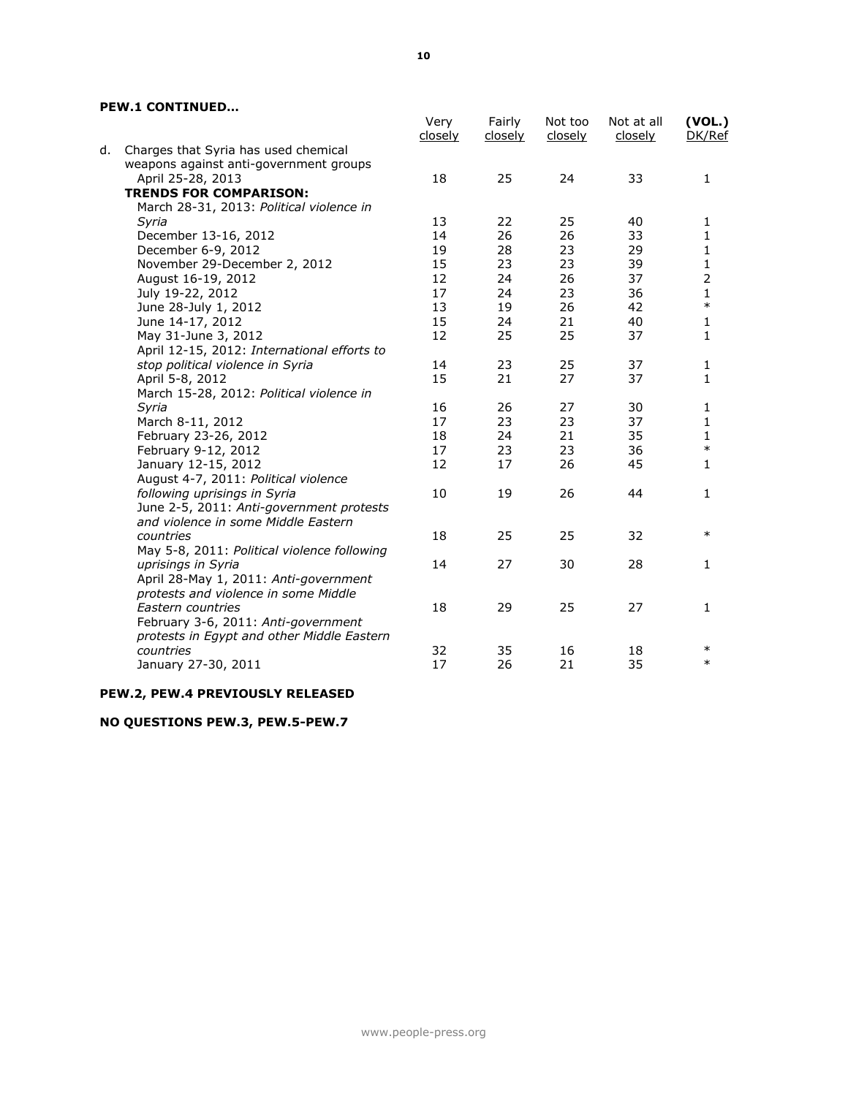### **PEW.1 CONTINUED…**

|    |                                             | Very<br><u>closely</u> | Fairly<br><u>closely</u> | Not too<br><u>closely</u> | Not at all<br>closely | (VOL.)<br>DK/Ref |
|----|---------------------------------------------|------------------------|--------------------------|---------------------------|-----------------------|------------------|
| d. | Charges that Syria has used chemical        |                        |                          |                           |                       |                  |
|    | weapons against anti-government groups      |                        |                          |                           |                       |                  |
|    | April 25-28, 2013                           | 18                     | 25                       | 24                        | 33                    | $\mathbf{1}$     |
|    | <b>TRENDS FOR COMPARISON:</b>               |                        |                          |                           |                       |                  |
|    | March 28-31, 2013: Political violence in    |                        |                          |                           |                       |                  |
|    | Syria                                       | 13                     | 22                       | 25                        | 40                    | 1                |
|    | December 13-16, 2012                        | 14                     | 26                       | 26                        | 33                    | 1                |
|    | December 6-9, 2012                          | 19                     | 28                       | 23                        | 29                    | 1                |
|    | November 29-December 2, 2012                | 15                     | 23                       | 23                        | 39                    | 1                |
|    | August 16-19, 2012                          | 12                     | 24                       | 26                        | 37                    | $\overline{2}$   |
|    | July 19-22, 2012                            | 17                     | 24                       | 23                        | 36                    | $\mathbf{1}$     |
|    | June 28-July 1, 2012                        | 13                     | 19                       | 26                        | 42                    | $\ast$           |
|    | June 14-17, 2012                            | 15                     | 24                       | 21                        | 40                    | 1                |
|    | May 31-June 3, 2012                         | 12                     | 25                       | 25                        | 37                    | 1                |
|    | April 12-15, 2012: International efforts to |                        |                          |                           |                       |                  |
|    | stop political violence in Syria            | 14                     | 23                       | 25                        | 37                    | 1                |
|    | April 5-8, 2012                             | 15                     | 21                       | 27                        | 37                    | 1                |
|    | March 15-28, 2012: Political violence in    |                        |                          |                           |                       |                  |
|    | Syria                                       | 16                     | 26                       | 27                        | 30                    | 1                |
|    | March 8-11, 2012                            | 17                     | 23                       | 23                        | 37                    | 1                |
|    | February 23-26, 2012                        | 18                     | 24                       | 21                        | 35                    | $\mathbf{1}$     |
|    | February 9-12, 2012                         | 17                     | 23                       | 23                        | 36                    | $\ast$           |
|    | January 12-15, 2012                         | 12                     | 17                       | 26                        | 45                    | 1                |
|    | August 4-7, 2011: Political violence        |                        |                          |                           |                       |                  |
|    | following uprisings in Syria                | 10                     | 19                       | 26                        | 44                    | $\mathbf{1}$     |
|    | June 2-5, 2011: Anti-government protests    |                        |                          |                           |                       |                  |
|    | and violence in some Middle Eastern         |                        |                          |                           |                       |                  |
|    | countries                                   | 18                     | 25                       | 25                        | 32                    | $\ast$           |
|    | May 5-8, 2011: Political violence following |                        |                          |                           |                       |                  |
|    | uprisings in Syria                          | 14                     | 27                       | 30                        | 28                    | 1                |
|    | April 28-May 1, 2011: Anti-government       |                        |                          |                           |                       |                  |
|    | protests and violence in some Middle        |                        |                          |                           |                       |                  |
|    | Eastern countries                           | 18                     | 29                       | 25                        | 27                    | 1                |
|    | February 3-6, 2011: Anti-government         |                        |                          |                           |                       |                  |
|    | protests in Egypt and other Middle Eastern  |                        |                          |                           |                       | $\ast$           |
|    | countries                                   | 32<br>17               | 35                       | 16                        | 18                    | $\ast$           |
|    | January 27-30, 2011                         |                        | 26                       | 21                        | 35                    |                  |
|    |                                             |                        |                          |                           |                       |                  |

## **PEW.2, PEW.4 PREVIOUSLY RELEASED**

## **NO QUESTIONS PEW.3, PEW.5-PEW.7**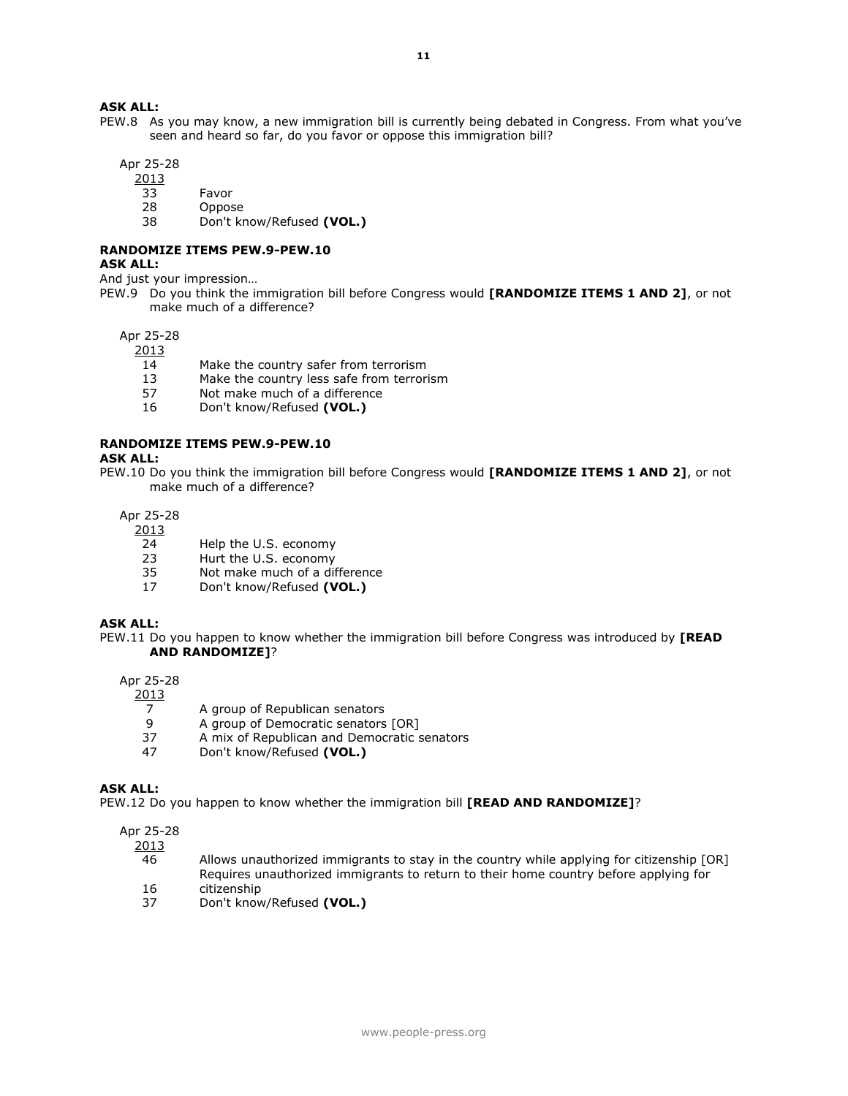#### **ASK ALL:**

PEW.8 As you may know, a new immigration bill is currently being debated in Congress. From what you've seen and heard so far, do you favor or oppose this immigration bill?

Apr 25-28

2013

- 33 Favor
- 28 Oppose
- 38 Don't know/Refused **(VOL.)**

# **RANDOMIZE ITEMS PEW.9-PEW.10**

#### **ASK ALL:**

And just your impression…

PEW.9 Do you think the immigration bill before Congress would **[RANDOMIZE ITEMS 1 AND 2]**, or not make much of a difference?

#### Apr 25-28

2013

- 14 Make the country safer from terrorism
- 13 Make the country less safe from terrorism
- 57 Not make much of a difference
- 16 Don't know/Refused **(VOL.)**

#### **RANDOMIZE ITEMS PEW.9-PEW.10**

#### **ASK ALL:**

PEW.10 Do you think the immigration bill before Congress would **[RANDOMIZE ITEMS 1 AND 2]**, or not make much of a difference?

Apr 25-28

## 2013

- 24 Help the U.S. economy
- 23 Hurt the U.S. economy
- 35 Not make much of a difference
- 17 Don't know/Refused **(VOL.)**

#### **ASK ALL:**

PEW.11 Do you happen to know whether the immigration bill before Congress was introduced by **[READ AND RANDOMIZE]**?

#### Apr 25-28

2013

- 7 A group of Republican senators
- 9 A group of Democratic senators [OR]<br>37 A mix of Republican and Democratic s
- A mix of Republican and Democratic senators
- 47 Don't know/Refused **(VOL.)**

#### **ASK ALL:**

PEW.12 Do you happen to know whether the immigration bill **[READ AND RANDOMIZE]**?

#### Apr 25-28

2013

- 46 Allows unauthorized immigrants to stay in the country while applying for citizenship [OR] Requires unauthorized immigrants to return to their home country before applying for 16 citizenship
- 37 Don't know/Refused **(VOL.)**